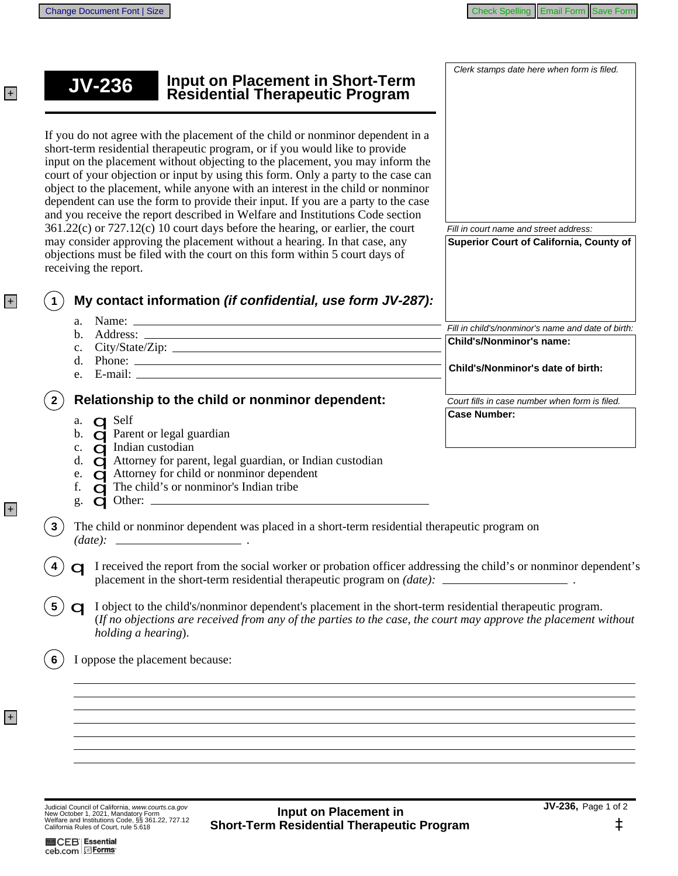| <b>Input on Placement in Short-Term<br/>Residential Therapeutic Program</b><br>$JV-236$                                                                                                                                                                                                                                                                                                                                                                                                                                                                                                                                                                                                                                                                                                                                                                             | Clerk stamps date here when form is filed.                                                                          |
|---------------------------------------------------------------------------------------------------------------------------------------------------------------------------------------------------------------------------------------------------------------------------------------------------------------------------------------------------------------------------------------------------------------------------------------------------------------------------------------------------------------------------------------------------------------------------------------------------------------------------------------------------------------------------------------------------------------------------------------------------------------------------------------------------------------------------------------------------------------------|---------------------------------------------------------------------------------------------------------------------|
| If you do not agree with the placement of the child or nonminor dependent in a<br>short-term residential therapeutic program, or if you would like to provide<br>input on the placement without objecting to the placement, you may inform the<br>court of your objection or input by using this form. Only a party to the case can<br>object to the placement, while anyone with an interest in the child or nonminor<br>dependent can use the form to provide their input. If you are a party to the case<br>and you receive the report described in Welfare and Institutions Code section<br>361.22(c) or 727.12(c) 10 court days before the hearing, or earlier, the court<br>may consider approving the placement without a hearing. In that case, any<br>objections must be filed with the court on this form within 5 court days of<br>receiving the report. | Fill in court name and street address:<br>Superior Court of California, County of                                   |
| My contact information (if confidential, use form JV-287):                                                                                                                                                                                                                                                                                                                                                                                                                                                                                                                                                                                                                                                                                                                                                                                                          |                                                                                                                     |
| $d.$ Phone: $\_\_$                                                                                                                                                                                                                                                                                                                                                                                                                                                                                                                                                                                                                                                                                                                                                                                                                                                  | Fill in child's/nonminor's name and date of birth:<br>Child's/Nonminor's name:<br>Child's/Nonminor's date of birth: |
| Relationship to the child or nonminor dependent:                                                                                                                                                                                                                                                                                                                                                                                                                                                                                                                                                                                                                                                                                                                                                                                                                    | Court fills in case number when form is filed.                                                                      |
| a. <b>QS</b> elf<br>b. <b>C</b> Parent or legal guardian<br>c. <b>Q</b> Indian custodian<br>d. $\Box$ Attorney for parent, legal guardian, or Indian custodian<br><b>Q</b> Attorney for child or nonminor dependent<br>e.<br><b>C</b> The child's or nonminor's Indian tribe<br>f.<br>g.                                                                                                                                                                                                                                                                                                                                                                                                                                                                                                                                                                            | <b>Case Number:</b>                                                                                                 |
| The child or nonminor dependent was placed in a short-term residential therapeutic program on                                                                                                                                                                                                                                                                                                                                                                                                                                                                                                                                                                                                                                                                                                                                                                       |                                                                                                                     |
| I received the report from the social worker or probation officer addressing the child's or nonminor dependent's                                                                                                                                                                                                                                                                                                                                                                                                                                                                                                                                                                                                                                                                                                                                                    |                                                                                                                     |
| I object to the child's/nonminor dependent's placement in the short-term residential therapeutic program.<br>(If no objections are received from any of the parties to the case, the court may approve the placement without<br>holding a hearing).                                                                                                                                                                                                                                                                                                                                                                                                                                                                                                                                                                                                                 |                                                                                                                     |
| I oppose the placement because:                                                                                                                                                                                                                                                                                                                                                                                                                                                                                                                                                                                                                                                                                                                                                                                                                                     |                                                                                                                     |
|                                                                                                                                                                                                                                                                                                                                                                                                                                                                                                                                                                                                                                                                                                                                                                                                                                                                     |                                                                                                                     |
|                                                                                                                                                                                                                                                                                                                                                                                                                                                                                                                                                                                                                                                                                                                                                                                                                                                                     |                                                                                                                     |
|                                                                                                                                                                                                                                                                                                                                                                                                                                                                                                                                                                                                                                                                                                                                                                                                                                                                     |                                                                                                                     |
|                                                                                                                                                                                                                                                                                                                                                                                                                                                                                                                                                                                                                                                                                                                                                                                                                                                                     |                                                                                                                     |

Judicial Council of California, www.courts.ca.gov<br>New October 1, 2021, Mandatory Form<br>Welfare and Institutions Code, §§ 361.22, 727.12<br>California Rules of Court, rule 5.618

+

+

+

+

JV-236, Page 1 of 2